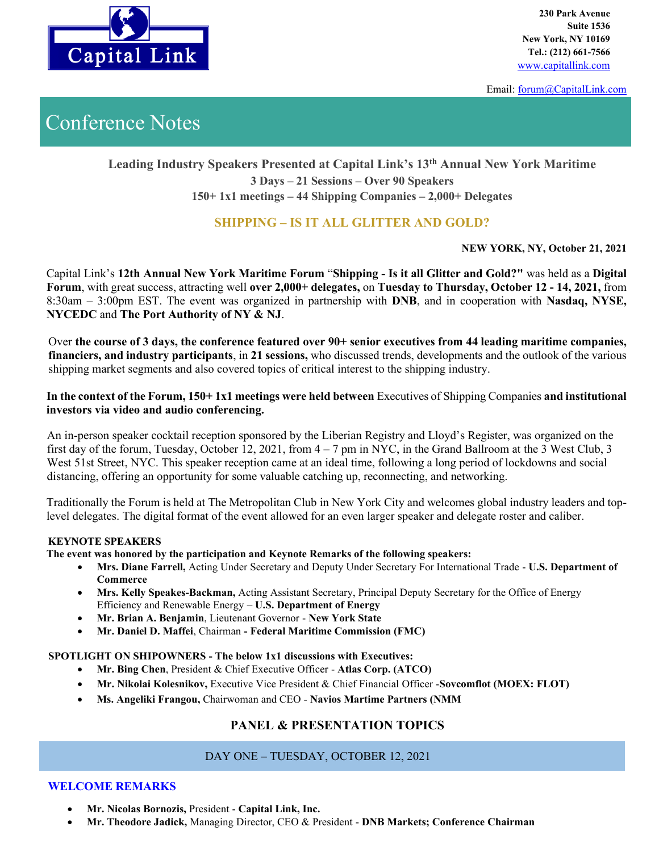

**230 Park Avenue Suite 1536 New York, NY 10169 Tel.: (212) 661-7566**

Email: [forum@CapitalLink.com](mailto:forum@CapitalLink.com) 

# Conference Notes

# **Leading Industry Speakers Presented at Capital Link's 13 th Annual New York Maritime 3 Days – 21 Sessions – Over 90 Speakers 150+ 1x1 meetings – 44 Shipping Companies – 2,000+ Delegates**

# **SHIPPING – IS IT ALL GLITTER AND GOLD?**

**NEW YORK, NY, October 21, 2021**

Capital Link's **12th Annual New York Maritime Forum** "**Shipping - Is it all Glitter and Gold?"** was held as a **Digital Forum**, with great success, attracting well **over 2,000+ delegates,** on **Tuesday to Thursday, October 12 - 14, 2021,** from 8:30am – 3:00pm EST. The event was organized in partnership with **DNB**, and in cooperation with **Nasdaq, NYSE, NYCEDC** and **The Port Authority of NY & NJ**.

Over **the course of 3 days, the conference featured over 90+ senior executives from 44 leading maritime companies, financiers, and industry participants**, in **21 sessions,** who discussed trends, developments and the outlook of the various shipping market segments and also covered topics of critical interest to the shipping industry.

**In the context of the Forum, 150+ 1x1 meetings were held between** Executives of Shipping Companies **and institutional investors via video and audio conferencing.** 

An in-person speaker cocktail reception sponsored by the Liberian Registry and Lloyd's Register, was organized on the first day of the forum, Tuesday, October 12, 2021, from 4 – 7 pm in NYC, in the Grand Ballroom at the 3 West Club, 3 West 51st Street, NYC. This speaker reception came at an ideal time, following a long period of lockdowns and social distancing, offering an opportunity for some valuable catching up, reconnecting, and networking.

Traditionally the Forum is held at The Metropolitan Club in New York City and welcomes global industry leaders and toplevel delegates. The digital format of the event allowed for an even larger speaker and delegate roster and caliber.

#### **KEYNOTE SPEAKERS**

**The event was honored by the participation and Keynote Remarks of the following speakers:**

- **Mrs. Diane Farrell,** Acting Under Secretary and Deputy Under Secretary For International Trade **U.S. Department of Commerce**
- **Mrs. Kelly Speakes-Backman,** Acting Assistant Secretary, Principal Deputy Secretary for the Office of Energy Efficiency and Renewable Energy – **U.S. Department of Energy**
- **Mr. Brian A. Benjamin**, Lieutenant Governor **New York State**
- **Mr. Daniel D. Maffei**, Chairman **- Federal Maritime Commission (FMC)**

#### **SPOTLIGHT ON SHIPOWNERS - The below 1x1 discussions with Executives:**

- **Mr. Bing Chen**, President & Chief Executive Officer **Atlas Corp. (ATCO)**
- **Mr. Nikolai Kolesnikov,** Executive Vice President & Chief Financial Officer -**Sovcomflot (MOEX: FLOT)**
- **Ms. Angeliki Frangou,** Chairwoman and CEO **Navios Martime Partners (NMM**

## **PANEL & PRESENTATION TOPICS**

## DAY ONE – TUESDAY, OCTOBER 12, 2021

## **WELCOME REMARKS**

- **Mr. Nicolas Bornozis,** President **Capital Link, Inc.**
- **Mr. Theodore Jadick,** Managing Director, CEO & President **DNB Markets; Conference Chairman**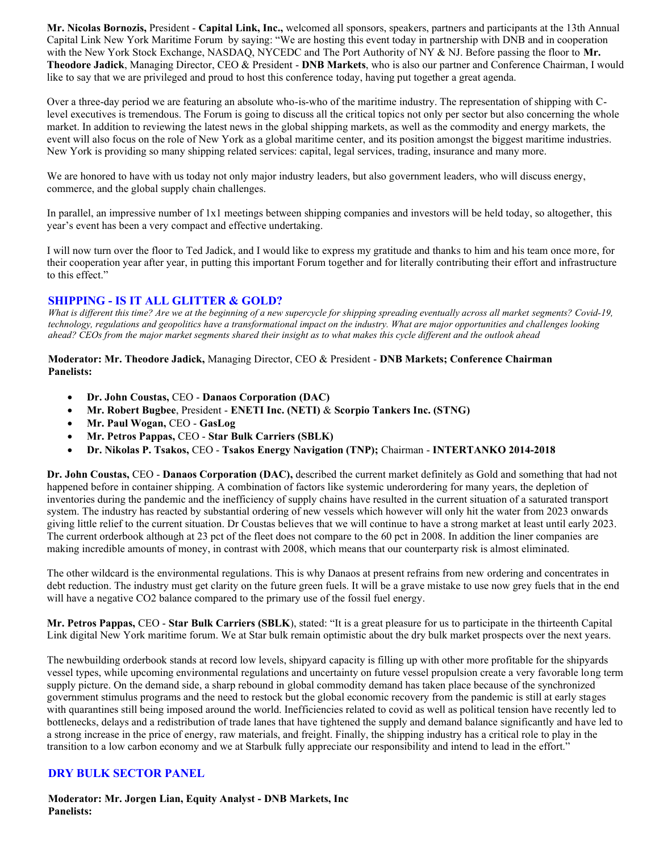**Mr. Nicolas Bornozis,** President - **Capital Link, Inc.,** welcomed all sponsors, speakers, partners and participants at the 13th Annual Capital Link New York Maritime Forum by saying: "We are hosting this event today in partnership with DNB and in cooperation with the New York Stock Exchange, NASDAQ, NYCEDC and The Port Authority of NY & NJ. Before passing the floor to **Mr. Theodore Jadick**, Managing Director, CEO & President - **DNB Markets**, who is also our partner and Conference Chairman, I would like to say that we are privileged and proud to host this conference today, having put together a great agenda.

Over a three-day period we are featuring an absolute who-is-who of the maritime industry. The representation of shipping with Clevel executives is tremendous. The Forum is going to discuss all the critical topics not only per sector but also concerning the whole market. In addition to reviewing the latest news in the global shipping markets, as well as the commodity and energy markets, the event will also focus on the role of New York as a global maritime center, and its position amongst the biggest maritime industries. New York is providing so many shipping related services: capital, legal services, trading, insurance and many more.

We are honored to have with us today not only major industry leaders, but also government leaders, who will discuss energy, commerce, and the global supply chain challenges.

In parallel, an impressive number of 1x1 meetings between shipping companies and investors will be held today, so altogether, this year's event has been a very compact and effective undertaking.

I will now turn over the floor to Ted Jadick, and I would like to express my gratitude and thanks to him and his team once more, for their cooperation year after year, in putting this important Forum together and for literally contributing their effort and infrastructure to this effect."

#### **SHIPPING - IS IT ALL GLITTER & GOLD?**

*What is different this time? Are we at the beginning of a new supercycle for shipping spreading eventually across all market segments? Covid-19, technology, regulations and geopolitics have a transformational impact on the industry. What are major opportunities and challenges looking ahead? CEOs from the major market segments shared their insight as to what makes this cycle different and the outlook ahead*

**Moderator: Mr. Theodore Jadick,** Managing Director, CEO & President - **DNB Markets; Conference Chairman Panelists:**

- **Dr. John Coustas,** CEO **Danaos Corporation (DAC)**
- **Mr. Robert Bugbee**, President **ENETI Inc. (NETI)** & **Scorpio Tankers Inc. (STNG)**
- **Mr. Paul Wogan,** CEO **GasLog**
- **Mr. Petros Pappas,** CEO **Star Bulk Carriers (SBLK)**
- **Dr. Nikolas P. Tsakos,** CEO **Tsakos Energy Navigation (TNP);** Chairman **INTERTANKO 2014-2018**

**Dr. John Coustas,** CEO - **Danaos Corporation (DAC),** described the current market definitely as Gold and something that had not happened before in container shipping. A combination of factors like systemic underordering for many years, the depletion of inventories during the pandemic and the inefficiency of supply chains have resulted in the current situation of a saturated transport system. The industry has reacted by substantial ordering of new vessels which however will only hit the water from 2023 onwards giving little relief to the current situation. Dr Coustas believes that we will continue to have a strong market at least until early 2023. The current orderbook although at 23 pct of the fleet does not compare to the 60 pct in 2008. In addition the liner companies are making incredible amounts of money, in contrast with 2008, which means that our counterparty risk is almost eliminated.

The other wildcard is the environmental regulations. This is why Danaos at present refrains from new ordering and concentrates in debt reduction. The industry must get clarity on the future green fuels. It will be a grave mistake to use now grey fuels that in the end will have a negative CO2 balance compared to the primary use of the fossil fuel energy.

**Mr. Petros Pappas,** CEO - **Star Bulk Carriers (SBLK**), stated: "It is a great pleasure for us to participate in the thirteenth Capital Link digital New York maritime forum. We at Star bulk remain optimistic about the dry bulk market prospects over the next years.

The newbuilding orderbook stands at record low levels, shipyard capacity is filling up with other more profitable for the shipyards vessel types, while upcoming environmental regulations and uncertainty on future vessel propulsion create a very favorable long term supply picture. On the demand side, a sharp rebound in global commodity demand has taken place because of the synchronized government stimulus programs and the need to restock but the global economic recovery from the pandemic is still at early stages with quarantines still being imposed around the world. Inefficiencies related to covid as well as political tension have recently led to bottlenecks, delays and a redistribution of trade lanes that have tightened the supply and demand balance significantly and have led to a strong increase in the price of energy, raw materials, and freight. Finally, the shipping industry has a critical role to play in the transition to a low carbon economy and we at Starbulk fully appreciate our responsibility and intend to lead in the effort."

## **DRY BULK SECTOR PANEL**

**Moderator: Mr. Jorgen Lian, Equity Analyst - DNB Markets, Inc Panelists:**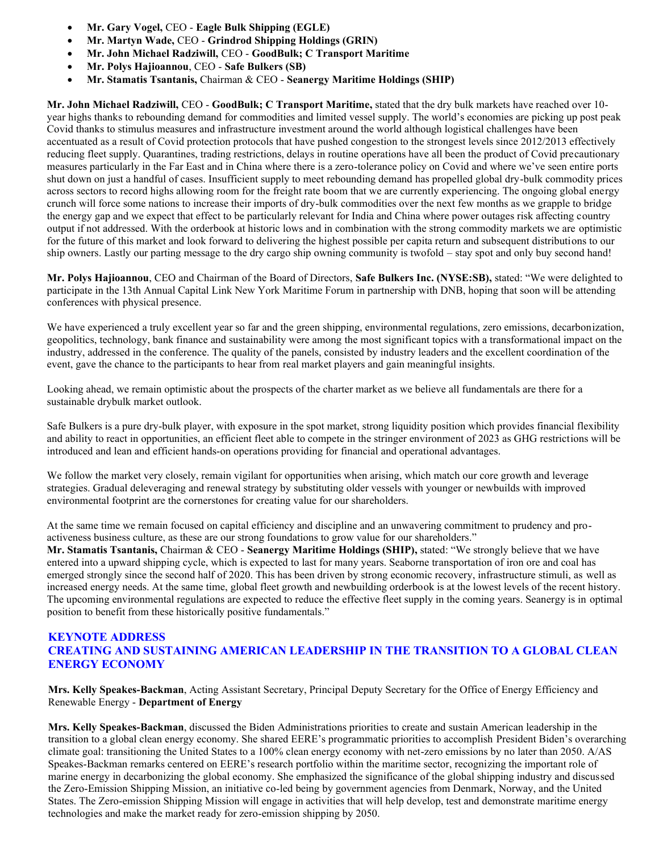- **Mr. Gary Vogel,** CEO **Eagle Bulk Shipping (EGLE)**
- **Mr. Martyn Wade,** CEO **Grindrod Shipping Holdings (GRIN)**
- **Mr. John Michael Radziwill,** CEO **GoodBulk; C Transport Maritime**
- **Mr. Polys Hajioannou**, CEO **Safe Bulkers (SB)**
- **Mr. Stamatis Tsantanis,** Chairman & CEO **Seanergy Maritime Holdings (SHIP)**

**Mr. John Michael Radziwill,** CEO - **GoodBulk; C Transport Maritime,** stated that the dry bulk markets have reached over 10 year highs thanks to rebounding demand for commodities and limited vessel supply. The world's economies are picking up post peak Covid thanks to stimulus measures and infrastructure investment around the world although logistical challenges have been accentuated as a result of Covid protection protocols that have pushed congestion to the strongest levels since 2012/2013 effectively reducing fleet supply. Quarantines, trading restrictions, delays in routine operations have all been the product of Covid precautionary measures particularly in the Far East and in China where there is a zero-tolerance policy on Covid and where we've seen entire ports shut down on just a handful of cases. Insufficient supply to meet rebounding demand has propelled global dry-bulk commodity prices across sectors to record highs allowing room for the freight rate boom that we are currently experiencing. The ongoing global energy crunch will force some nations to increase their imports of dry-bulk commodities over the next few months as we grapple to bridge the energy gap and we expect that effect to be particularly relevant for India and China where power outages risk affecting country output if not addressed. With the orderbook at historic lows and in combination with the strong commodity markets we are optimistic for the future of this market and look forward to delivering the highest possible per capita return and subsequent distributions to our ship owners. Lastly our parting message to the dry cargo ship owning community is twofold – stay spot and only buy second hand!

**Mr. Polys Hajioannou**, CEO and Chairman of the Board of Directors, **Safe Bulkers Inc. (NYSE:SB),** stated: "We were delighted to participate in the 13th Annual Capital Link New York Maritime Forum in partnership with DNB, hoping that soon will be attending conferences with physical presence.

We have experienced a truly excellent year so far and the green shipping, environmental regulations, zero emissions, decarbonization, geopolitics, technology, bank finance and sustainability were among the most significant topics with a transformational impact on the industry, addressed in the conference. The quality of the panels, consisted by industry leaders and the excellent coordination of the event, gave the chance to the participants to hear from real market players and gain meaningful insights.

Looking ahead, we remain optimistic about the prospects of the charter market as we believe all fundamentals are there for a sustainable drybulk market outlook.

Safe Bulkers is a pure dry-bulk player, with exposure in the spot market, strong liquidity position which provides financial flexibility and ability to react in opportunities, an efficient fleet able to compete in the stringer environment of 2023 as GHG restrictions will be introduced and lean and efficient hands-on operations providing for financial and operational advantages.

We follow the market very closely, remain vigilant for opportunities when arising, which match our core growth and leverage strategies. Gradual deleveraging and renewal strategy by substituting older vessels with younger or newbuilds with improved environmental footprint are the cornerstones for creating value for our shareholders.

At the same time we remain focused on capital efficiency and discipline and an unwavering commitment to prudency and proactiveness business culture, as these are our strong foundations to grow value for our shareholders."

**Mr. Stamatis Tsantanis,** Chairman & CEO - **Seanergy Maritime Holdings (SHIP),** stated: "We strongly believe that we have entered into a upward shipping cycle, which is expected to last for many years. Seaborne transportation of iron ore and coal has emerged strongly since the second half of 2020. This has been driven by strong economic recovery, infrastructure stimuli, as well as increased energy needs. At the same time, global fleet growth and newbuilding orderbook is at the lowest levels of the recent history. The upcoming environmental regulations are expected to reduce the effective fleet supply in the coming years. Seanergy is in optimal position to benefit from these historically positive fundamentals."

#### **KEYNOTE ADDRESS CREATING AND SUSTAINING AMERICAN LEADERSHIP IN THE TRANSITION TO A GLOBAL CLEAN ENERGY ECONOMY**

**Mrs. Kelly Speakes-Backman**, Acting Assistant Secretary, Principal Deputy Secretary for the Office of Energy Efficiency and Renewable Energy - **Department of Energy**

**Mrs. Kelly Speakes-Backman**, discussed the Biden Administrations priorities to create and sustain American leadership in the transition to a global clean energy economy. She shared EERE's programmatic priorities to accomplish President Biden's overarching climate goal: transitioning the United States to a 100% clean energy economy with net-zero emissions by no later than 2050. A/AS Speakes-Backman remarks centered on EERE's research portfolio within the maritime sector, recognizing the important role of marine energy in decarbonizing the global economy. She emphasized the significance of the global shipping industry and discussed the Zero-Emission Shipping Mission, an initiative co-led being by government agencies from Denmark, Norway, and the United States. The Zero-emission Shipping Mission will engage in activities that will help develop, test and demonstrate maritime energy technologies and make the market ready for zero-emission shipping by 2050.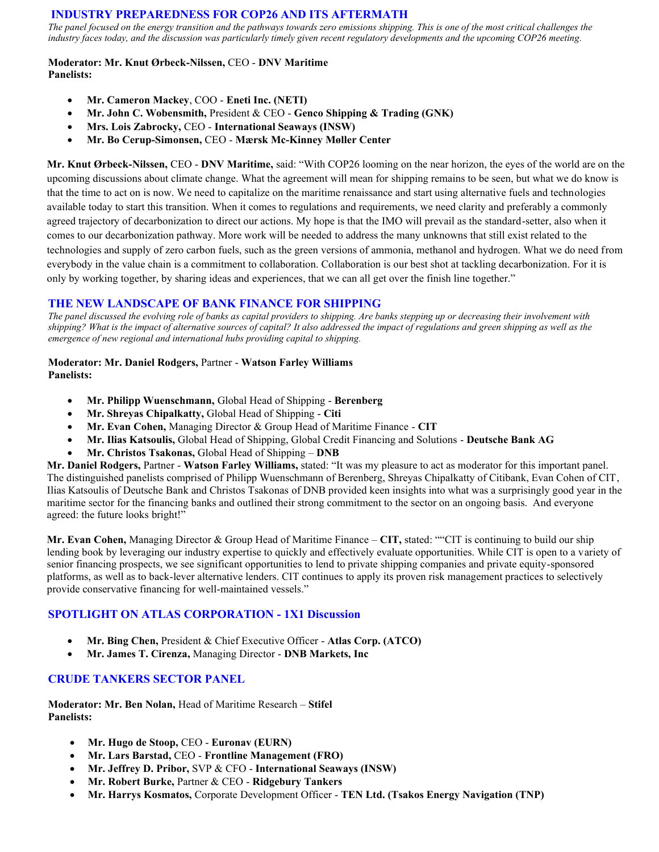## **INDUSTRY PREPAREDNESS FOR COP26 AND ITS AFTERMATH**

*The panel focused on the energy transition and the pathways towards zero emissions shipping. This is one of the most critical challenges the industry faces today, and the discussion was particularly timely given recent regulatory developments and the upcoming COP26 meeting.*

#### **Moderator: Mr. Knut Ørbeck-Nilssen,** CEO - **DNV Maritime Panelists:**

- **Mr. Cameron Mackey**, COO **Eneti Inc. (NETI)**
- **Mr. John C. Wobensmith,** President & CEO **Genco Shipping & Trading (GNK)**
- **Mrs. Lois Zabrocky,** CEO **International Seaways (INSW)**
- **Mr. Bo Cerup-Simonsen,** CEO **Mærsk Mc-Kinney Møller Center**

**Mr. Knut Ørbeck-Nilssen,** CEO - **DNV Maritime,** said: "With COP26 looming on the near horizon, the eyes of the world are on the upcoming discussions about climate change. What the agreement will mean for shipping remains to be seen, but what we do know is that the time to act on is now. We need to capitalize on the maritime renaissance and start using alternative fuels and technologies available today to start this transition. When it comes to regulations and requirements, we need clarity and preferably a commonly agreed trajectory of decarbonization to direct our actions. My hope is that the IMO will prevail as the standard-setter, also when it comes to our decarbonization pathway. More work will be needed to address the many unknowns that still exist related to the technologies and supply of zero carbon fuels, such as the green versions of ammonia, methanol and hydrogen. What we do need from everybody in the value chain is a commitment to collaboration. Collaboration is our best shot at tackling decarbonization. For it is only by working together, by sharing ideas and experiences, that we can all get over the finish line together."

## **THE NEW LANDSCAPE OF BANK FINANCE FOR SHIPPING**

*The panel discussed the evolving role of banks as capital providers to shipping. Are banks stepping up or decreasing their involvement with shipping? What is the impact of alternative sources of capital? It also addressed the impact of regulations and green shipping as well as the emergence of new regional and international hubs providing capital to shipping.*

#### **Moderator: Mr. Daniel Rodgers,** Partner - **Watson Farley Williams Panelists:**

- **Mr. Philipp Wuenschmann,** Global Head of Shipping **Berenberg**
- **Mr. Shreyas Chipalkatty,** Global Head of Shipping **Citi**
- **Mr. Evan Cohen,** Managing Director & Group Head of Maritime Finance **CIT**
- **Mr. Ilias Katsoulis,** Global Head of Shipping, Global Credit Financing and Solutions **Deutsche Bank AG**
- **Mr. Christos Tsakonas,** Global Head of Shipping **DNB**

**Mr. Daniel Rodgers,** Partner - **Watson Farley Williams,** stated: "It was my pleasure to act as moderator for this important panel. The distinguished panelists comprised of Philipp Wuenschmann of Berenberg, Shreyas Chipalkatty of Citibank, Evan Cohen of CIT, Ilias Katsoulis of Deutsche Bank and Christos Tsakonas of DNB provided keen insights into what was a surprisingly good year in the maritime sector for the financing banks and outlined their strong commitment to the sector on an ongoing basis. And everyone agreed: the future looks bright!"

**Mr. Evan Cohen,** Managing Director & Group Head of Maritime Finance – **CIT,** stated: ""CIT is continuing to build our ship lending book by leveraging our industry expertise to quickly and effectively evaluate opportunities. While CIT is open to a variety of senior financing prospects, we see significant opportunities to lend to private shipping companies and private equity-sponsored platforms, as well as to back-lever alternative lenders. CIT continues to apply its proven risk management practices to selectively provide conservative financing for well-maintained vessels."

## **SPOTLIGHT ON ATLAS CORPORATION - 1X1 Discussion**

- **Mr. Bing Chen,** President & Chief Executive Officer **Atlas Corp. (ATCO)**
- **Mr. James T. Cirenza,** Managing Director **DNB Markets, Inc**

## **CRUDE TANKERS SECTOR PANEL**

**Moderator: Mr. Ben Nolan,** Head of Maritime Research – **Stifel Panelists:**

- **Mr. Hugo de Stoop,** CEO **Euronav (EURN)**
- **Mr. Lars Barstad,** CEO **Frontline Management (FRO)**
- **Mr. Jeffrey D. Pribor,** SVP & CFO **International Seaways (INSW)**
- **Mr. Robert Burke,** Partner & CEO **Ridgebury Tankers**
- **Mr. Harrys Kosmatos,** Corporate Development Officer **TEN Ltd. (Tsakos Energy Navigation (TNP)**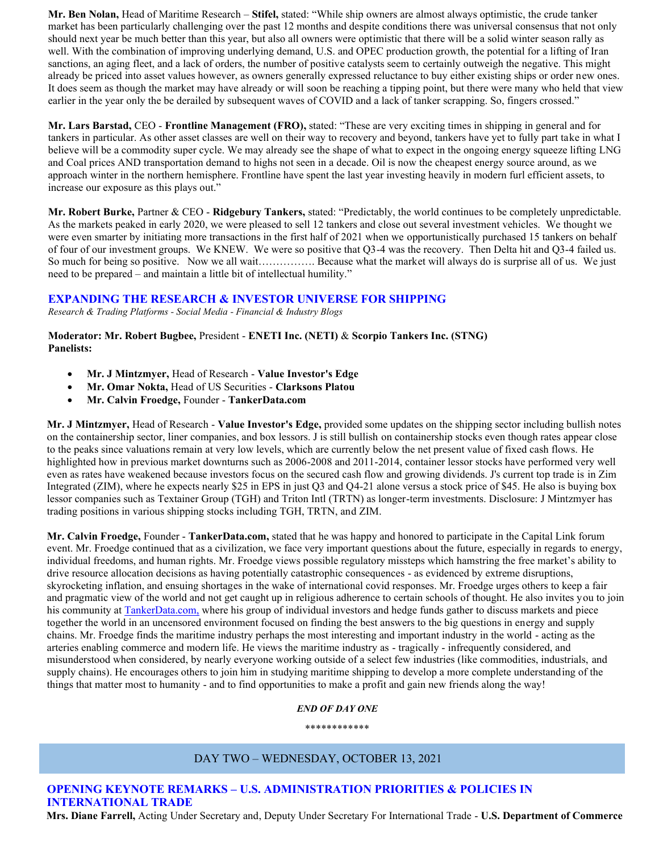**Mr. Ben Nolan,** Head of Maritime Research – **Stifel,** stated: "While ship owners are almost always optimistic, the crude tanker market has been particularly challenging over the past 12 months and despite conditions there was universal consensus that not only should next year be much better than this year, but also all owners were optimistic that there will be a solid winter season rally as well. With the combination of improving underlying demand, U.S. and OPEC production growth, the potential for a lifting of Iran sanctions, an aging fleet, and a lack of orders, the number of positive catalysts seem to certainly outweigh the negative. This might already be priced into asset values however, as owners generally expressed reluctance to buy either existing ships or order new ones. It does seem as though the market may have already or will soon be reaching a tipping point, but there were many who held that view earlier in the year only the be derailed by subsequent waves of COVID and a lack of tanker scrapping. So, fingers crossed."

**Mr. Lars Barstad,** CEO - **Frontline Management (FRO),** stated: "These are very exciting times in shipping in general and for tankers in particular. As other asset classes are well on their way to recovery and beyond, tankers have yet to fully part take in what I believe will be a commodity super cycle. We may already see the shape of what to expect in the ongoing energy squeeze lifting LNG and Coal prices AND transportation demand to highs not seen in a decade. Oil is now the cheapest energy source around, as we approach winter in the northern hemisphere. Frontline have spent the last year investing heavily in modern furl efficient assets, to increase our exposure as this plays out."

**Mr. Robert Burke,** Partner & CEO - **Ridgebury Tankers,** stated: "Predictably, the world continues to be completely unpredictable. As the markets peaked in early 2020, we were pleased to sell 12 tankers and close out several investment vehicles. We thought we were even smarter by initiating more transactions in the first half of 2021 when we opportunistically purchased 15 tankers on behalf of four of our investment groups. We KNEW. We were so positive that Q3-4 was the recovery. Then Delta hit and Q3-4 failed us. So much for being so positive. Now we all wait……………. Because what the market will always do is surprise all of us. We just need to be prepared – and maintain a little bit of intellectual humility."

## **EXPANDING THE RESEARCH & INVESTOR UNIVERSE FOR SHIPPING**

*Research & Trading Platforms - Social Media - Financial & Industry Blogs*

**Moderator: Mr. Robert Bugbee,** President - **ENETI Inc. (NETI)** & **Scorpio Tankers Inc. (STNG) Panelists:**

- **Mr. J Mintzmyer,** Head of Research **Value Investor's Edge**
- **Mr. Omar Nokta,** Head of US Securities **Clarksons Platou**
- **Mr. Calvin Froedge,** Founder **TankerData.com**

**Mr. J Mintzmyer,** Head of Research - **Value Investor's Edge,** provided some updates on the shipping sector including bullish notes on the containership sector, liner companies, and box lessors. J is still bullish on containership stocks even though rates appear close to the peaks since valuations remain at very low levels, which are currently below the net present value of fixed cash flows. He highlighted how in previous market downturns such as 2006-2008 and 2011-2014, container lessor stocks have performed very well even as rates have weakened because investors focus on the secured cash flow and growing dividends. J's current top trade is in Zim Integrated (ZIM), where he expects nearly \$25 in EPS in just Q3 and Q4-21 alone versus a stock price of \$45. He also is buying box lessor companies such as Textainer Group (TGH) and Triton Intl (TRTN) as longer-term investments. Disclosure: J Mintzmyer has trading positions in various shipping stocks including TGH, TRTN, and ZIM.

**Mr. Calvin Froedge,** Founder - **TankerData.com,** stated that he was happy and honored to participate in the Capital Link forum event. Mr. Froedge continued that as a civilization, we face very important questions about the future, especially in regards to energy, individual freedoms, and human rights. Mr. Froedge views possible regulatory missteps which hamstring the free market's ability to drive resource allocation decisions as having potentially catastrophic consequences - as evidenced by extreme disruptions, skyrocketing inflation, and ensuing shortages in the wake of international covid responses. Mr. Froedge urges others to keep a fair and pragmatic view of the world and not get caught up in religious adherence to certain schools of thought. He also invites you to join his community a[t TankerData.com,](https://tankerdata.com/) where his group of individual investors and hedge funds gather to discuss markets and piece together the world in an uncensored environment focused on finding the best answers to the big questions in energy and supply chains. Mr. Froedge finds the maritime industry perhaps the most interesting and important industry in the world - acting as the arteries enabling commerce and modern life. He views the maritime industry as - tragically - infrequently considered, and misunderstood when considered, by nearly everyone working outside of a select few industries (like commodities, industrials, and supply chains). He encourages others to join him in studying maritime shipping to develop a more complete understanding of the things that matter most to humanity - and to find opportunities to make a profit and gain new friends along the way!

#### *END OF DAY ONE*

\*\*\*\*\*\*\*\*\*\*\*\*

## DAY TWO – WEDNESDAY, OCTOBER 13, 2021

## **OPENING KEYNOTE REMARKS – U.S. ADMINISTRATION PRIORITIES & POLICIES IN INTERNATIONAL TRADE**

**Mrs. Diane Farrell,** Acting Under Secretary and, Deputy Under Secretary For International Trade - **U.S. Department of Commerce**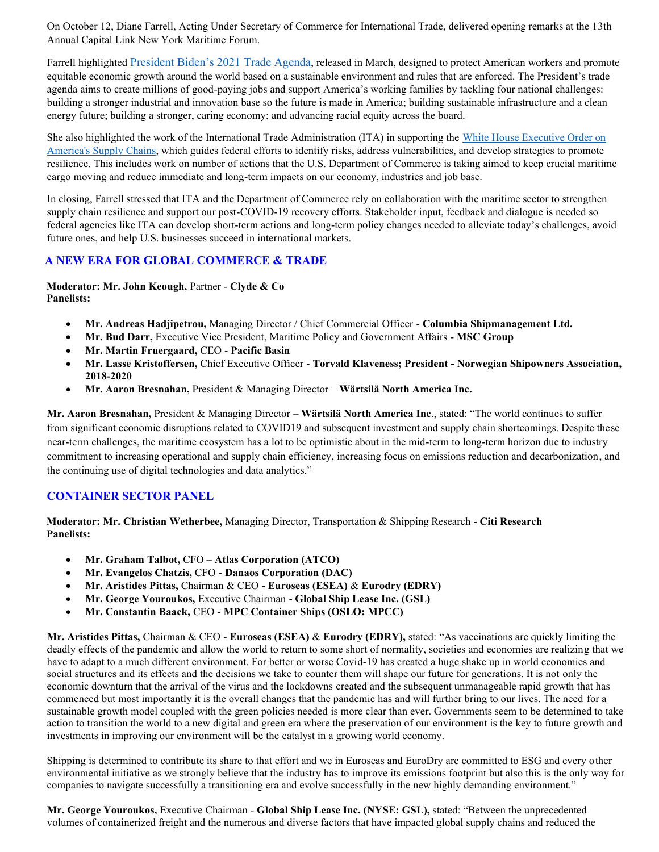On October 12, Diane Farrell, Acting Under Secretary of Commerce for International Trade, delivered opening remarks at the 13th Annual Capital Link New York Maritime Forum.

Farrell highlighted [President Biden's 2021 Trade Agenda](file:///C:/Users/User/AppData/Local/Microsoft/Windows/INetCache/Content.Outlook/PNXWMO1B/2021%20President’s%20Trade%20Agenda), released in March, designed to protect American workers and promote equitable economic growth around the world based on a sustainable environment and rules that are enforced. The President's trade agenda aims to create millions of good-paying jobs and support America's working families by tackling four national challenges: building a stronger industrial and innovation base so the future is made in America; building sustainable infrastructure and a clean energy future; building a stronger, caring economy; and advancing racial equity across the board.

She also highlighted the work of the International Trade Administration (ITA) in supporting the [White House Executive Order on](https://www.whitehouse.gov/briefing-room/presidential-actions/2021/02/24/executive-order-on-americas-supply-chains/)  [America's Supply Chains,](https://www.whitehouse.gov/briefing-room/presidential-actions/2021/02/24/executive-order-on-americas-supply-chains/) which guides federal efforts to identify risks, address vulnerabilities, and develop strategies to promote resilience. This includes work on number of actions that the U.S. Department of Commerce is taking aimed to keep crucial maritime cargo moving and reduce immediate and long-term impacts on our economy, industries and job base.

In closing, Farrell stressed that ITA and the Department of Commerce rely on collaboration with the maritime sector to strengthen supply chain resilience and support our post-COVID-19 recovery efforts. Stakeholder input, feedback and dialogue is needed so federal agencies like ITA can develop short-term actions and long-term policy changes needed to alleviate today's challenges, avoid future ones, and help U.S. businesses succeed in international markets.

## **A NEW ERA FOR GLOBAL COMMERCE & TRADE**

**Moderator: Mr. John Keough,** Partner - **Clyde & Co Panelists:**

- **Mr. Andreas Hadjipetrou,** Managing Director / Chief Commercial Officer **Columbia Shipmanagement Ltd.**
- **Mr. Bud Darr,** Executive Vice President, Maritime Policy and Government Affairs **MSC Group**
- **Mr. Martin Fruergaard,** CEO **Pacific Basin**
- **Mr. Lasse Kristoffersen,** Chief Executive Officer **Torvald Klaveness; President - Norwegian Shipowners Association, 2018-2020**
- **Mr. Aaron Bresnahan,** President & Managing Director **Wärtsilä North America Inc.**

**Mr. Aaron Bresnahan,** President & Managing Director – **Wärtsilä North America Inc**., stated: "The world continues to suffer from significant economic disruptions related to COVID19 and subsequent investment and supply chain shortcomings. Despite these near-term challenges, the maritime ecosystem has a lot to be optimistic about in the mid-term to long-term horizon due to industry commitment to increasing operational and supply chain efficiency, increasing focus on emissions reduction and decarbonization, and the continuing use of digital technologies and data analytics."

## **CONTAINER SECTOR PANEL**

**Moderator: Mr. Christian Wetherbee,** Managing Director, Transportation & Shipping Research - **Citi Research Panelists:**

- **Mr. Graham Talbot,** CFO **Atlas Corporation (ATCO)**
- **Mr. Evangelos Chatzis,** CFO **Danaos Corporation (DAC)**
- **Mr. Aristides Pittas,** Chairman & CEO **Euroseas (ESEA)** & **Eurodry (EDRY)**
- **Mr. George Youroukos,** Executive Chairman **Global Ship Lease Inc. (GSL)**
- **Mr. Constantin Baack,** CEO **MPC Container Ships (OSLO: MPCC)**

**Mr. Aristides Pittas,** Chairman & CEO - **Euroseas (ESEA)** & **Eurodry (EDRY),** stated: "As vaccinations are quickly limiting the deadly effects of the pandemic and allow the world to return to some short of normality, societies and economies are realizing that we have to adapt to a much different environment. For better or worse Covid-19 has created a huge shake up in world economies and social structures and its effects and the decisions we take to counter them will shape our future for generations. It is not only the economic downturn that the arrival of the virus and the lockdowns created and the subsequent unmanageable rapid growth that has commenced but most importantly it is the overall changes that the pandemic has and will further bring to our lives. The need for a sustainable growth model coupled with the green policies needed is more clear than ever. Governments seem to be determined to take action to transition the world to a new digital and green era where the preservation of our environment is the key to future growth and investments in improving our environment will be the catalyst in a growing world economy.

Shipping is determined to contribute its share to that effort and we in Euroseas and EuroDry are committed to ESG and every other environmental initiative as we strongly believe that the industry has to improve its emissions footprint but also this is the only way for companies to navigate successfully a transitioning era and evolve successfully in the new highly demanding environment."

**Mr. George Youroukos,** Executive Chairman - **Global Ship Lease Inc. (NYSE: GSL),** stated: "Between the unprecedented volumes of containerized freight and the numerous and diverse factors that have impacted global supply chains and reduced the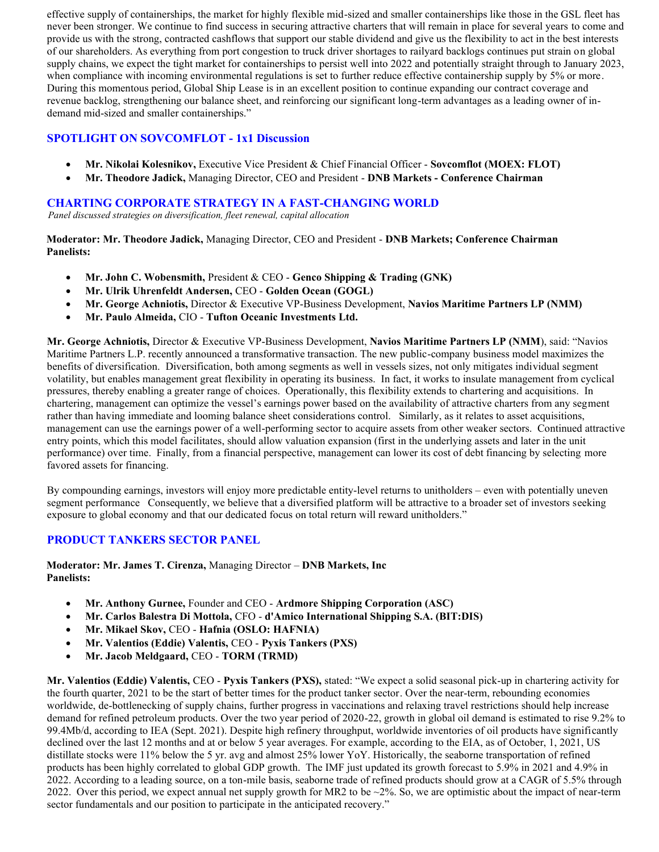effective supply of containerships, the market for highly flexible mid-sized and smaller containerships like those in the GSL fleet has never been stronger. We continue to find success in securing attractive charters that will remain in place for several years to come and provide us with the strong, contracted cashflows that support our stable dividend and give us the flexibility to act in the best interests of our shareholders. As everything from port congestion to truck driver shortages to railyard backlogs continues put strain on global supply chains, we expect the tight market for containerships to persist well into 2022 and potentially straight through to January 2023, when compliance with incoming environmental regulations is set to further reduce effective containership supply by 5% or more. During this momentous period, Global Ship Lease is in an excellent position to continue expanding our contract coverage and revenue backlog, strengthening our balance sheet, and reinforcing our significant long-term advantages as a leading owner of indemand mid-sized and smaller containerships."

## **SPOTLIGHT ON SOVCOMFLOT - 1x1 Discussion**

- **Mr. Nikolai Kolesnikov,** Executive Vice President & Chief Financial Officer **Sovcomflot (MOEX: FLOT)**
- **Mr. Theodore Jadick,** Managing Director, CEO and President **DNB Markets - Conference Chairman**

## **CHARTING CORPORATE STRATEGY IN A FAST-CHANGING WORLD**

*Panel discussed strategies on diversification, fleet renewal, capital allocation*

**Moderator: Mr. Theodore Jadick,** Managing Director, CEO and President - **DNB Markets; Conference Chairman Panelists:**

- **Mr. John C. Wobensmith,** President & CEO **Genco Shipping & Trading (GNK)**
- **Mr. Ulrik Uhrenfeldt Andersen,** CEO **Golden Ocean (GOGL)**
- **Mr. George Achniotis,** Director & Executive VP-Business Development, **Navios Maritime Partners LP (NMM)**
- **Mr. Paulo Almeida,** CIO **Tufton Oceanic Investments Ltd.**

**Mr. George Achniotis,** Director & Executive VP-Business Development, **Navios Maritime Partners LP (NMM**), said: "Navios Maritime Partners L.P. recently announced a transformative transaction. The new public-company business model maximizes the benefits of diversification. Diversification, both among segments as well in vessels sizes, not only mitigates individual segment volatility, but enables management great flexibility in operating its business. In fact, it works to insulate management from cyclical pressures, thereby enabling a greater range of choices. Operationally, this flexibility extends to chartering and acquisitions. In chartering, management can optimize the vessel's earnings power based on the availability of attractive charters from any segment rather than having immediate and looming balance sheet considerations control. Similarly, as it relates to asset acquisitions, management can use the earnings power of a well-performing sector to acquire assets from other weaker sectors. Continued attractive entry points, which this model facilitates, should allow valuation expansion (first in the underlying assets and later in the unit performance) over time. Finally, from a financial perspective, management can lower its cost of debt financing by selecting more favored assets for financing.

By compounding earnings, investors will enjoy more predictable entity-level returns to unitholders – even with potentially uneven segment performance Consequently, we believe that a diversified platform will be attractive to a broader set of investors seeking exposure to global economy and that our dedicated focus on total return will reward unitholders."

## **PRODUCT TANKERS SECTOR PANEL**

**Moderator: Mr. James T. Cirenza,** Managing Director – **DNB Markets, Inc Panelists:**

- **Mr. Anthony Gurnee,** Founder and CEO **Ardmore Shipping Corporation (ASC)**
- **Mr. Carlos Balestra Di Mottola,** CFO **d'Amico International Shipping S.A. (BIT:DIS)**
- **Mr. Mikael Skov,** CEO **Hafnia (OSLO: HAFNIA)**
- **Mr. Valentios (Eddie) Valentis,** CEO **Pyxis Tankers (PXS)**
- **Mr. Jacob Meldgaard,** CEO **TORM (TRMD)**

**Mr. Valentios (Eddie) Valentis,** CEO - **Pyxis Tankers (PXS),** stated: "We expect a solid seasonal pick-up in chartering activity for the fourth quarter, 2021 to be the start of better times for the product tanker sector. Over the near-term, rebounding economies worldwide, de-bottlenecking of supply chains, further progress in vaccinations and relaxing travel restrictions should help increase demand for refined petroleum products. Over the two year period of 2020-22, growth in global oil demand is estimated to rise 9.2% to 99.4Mb/d, according to IEA (Sept. 2021). Despite high refinery throughput, worldwide inventories of oil products have significantly declined over the last 12 months and at or below 5 year averages. For example, according to the EIA, as of October, 1, 2021, US distillate stocks were 11% below the 5 yr. avg and almost 25% lower YoY. Historically, the seaborne transportation of refined products has been highly correlated to global GDP growth. The IMF just updated its growth forecast to 5.9% in 2021 and 4.9% in 2022. According to a leading source, on a ton-mile basis, seaborne trade of refined products should grow at a CAGR of 5.5% through 2022. Over this period, we expect annual net supply growth for MR2 to be  $\sim$ 2%. So, we are optimistic about the impact of near-term sector fundamentals and our position to participate in the anticipated recovery."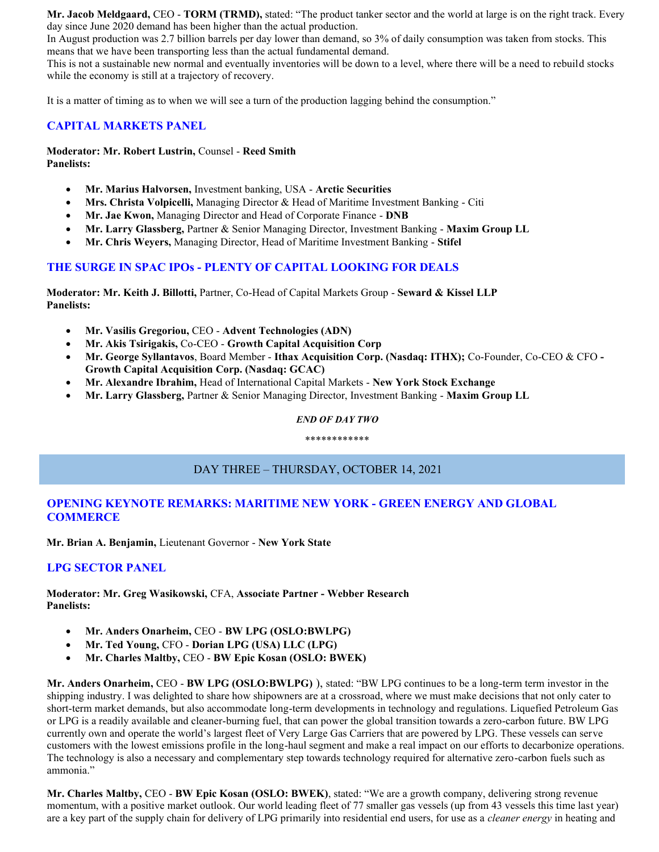**Mr. Jacob Meldgaard,** CEO - **TORM (TRMD),** stated: "The product tanker sector and the world at large is on the right track. Every day since June 2020 demand has been higher than the actual production.

In August production was 2.7 billion barrels per day lower than demand, so 3% of daily consumption was taken from stocks. This means that we have been transporting less than the actual fundamental demand.

This is not a sustainable new normal and eventually inventories will be down to a level, where there will be a need to rebuild stocks while the economy is still at a trajectory of recovery.

It is a matter of timing as to when we will see a turn of the production lagging behind the consumption."

#### **CAPITAL MARKETS PANEL**

**Moderator: Mr. Robert Lustrin,** Counsel - **Reed Smith Panelists:**

- **Mr. Marius Halvorsen,** Investment banking, USA **Arctic Securities**
- **Mrs. Christa Volpicelli,** Managing Director & Head of Maritime Investment Banking Citi
- **Mr. Jae Kwon,** Managing Director and Head of Corporate Finance **DNB**
- **Mr. Larry Glassberg,** Partner & Senior Managing Director, Investment Banking **Maxim Group LL**
- **Mr. Chris Weyers,** Managing Director, Head of Maritime Investment Banking **Stifel**

## **THE SURGE IN SPAC IPOs - PLENTY OF CAPITAL LOOKING FOR DEALS**

**Moderator: Mr. Keith J. Billotti,** Partner, Co-Head of Capital Markets Group - **Seward & Kissel LLP Panelists:**

- **Mr. Vasilis Gregoriou,** CEO **Advent Technologies (ADN)**
- **Mr. Akis Tsirigakis,** Co-CEO **Growth Capital Acquisition Corp**
- **Mr. George Syllantavos**, Board Member **Ithax Acquisition Corp. (Nasdaq: ITHX);** Co-Founder, Co-CEO & CFO **- Growth Capital Acquisition Corp. (Nasdaq: GCAC)**
- **Mr. Alexandre Ibrahim,** Head of International Capital Markets **New York Stock Exchange**
- **Mr. Larry Glassberg,** Partner & Senior Managing Director, Investment Banking **Maxim Group LL**

## *END OF DAY TWO* \*\*\*\*\*\*\*\*\*\*\*\*

# DAY THREE – THURSDAY, OCTOBER 14, 2021

## **OPENING KEYNOTE REMARKS: MARITIME NEW YORK - GREEN ENERGY AND GLOBAL COMMERCE**

**Mr. Brian A. Benjamin,** Lieutenant Governor - **New York State**

## **LPG SECTOR PANEL**

**Moderator: Mr. Greg Wasikowski,** CFA, **Associate Partner - Webber Research Panelists:**

- **Mr. Anders Onarheim,** CEO **BW LPG (OSLO:BWLPG)**
- **Mr. Ted Young,** CFO **Dorian LPG (USA) LLC (LPG)**
- **Mr. Charles Maltby,** CEO **BW Epic Kosan (OSLO: BWEK)**

**Mr. Anders Onarheim,** CEO - **BW LPG (OSLO:BWLPG)** ), stated: "BW LPG continues to be a long-term term investor in the shipping industry. I was delighted to share how shipowners are at a crossroad, where we must make decisions that not only cater to short-term market demands, but also accommodate long-term developments in technology and regulations. Liquefied Petroleum Gas or LPG is a readily available and cleaner-burning fuel, that can power the global transition towards a zero-carbon future. BW LPG currently own and operate the world's largest fleet of Very Large Gas Carriers that are powered by LPG. These vessels can serve customers with the lowest emissions profile in the long-haul segment and make a real impact on our efforts to decarbonize operations. The technology is also a necessary and complementary step towards technology required for alternative zero-carbon fuels such as ammonia."

**Mr. Charles Maltby,** CEO - **BW Epic Kosan (OSLO: BWEK)**, stated: "We are a growth company, delivering strong revenue momentum, with a positive market outlook. Our world leading fleet of 77 smaller gas vessels (up from 43 vessels this time last year) are a key part of the supply chain for delivery of LPG primarily into residential end users, for use as a *cleaner energy* in heating and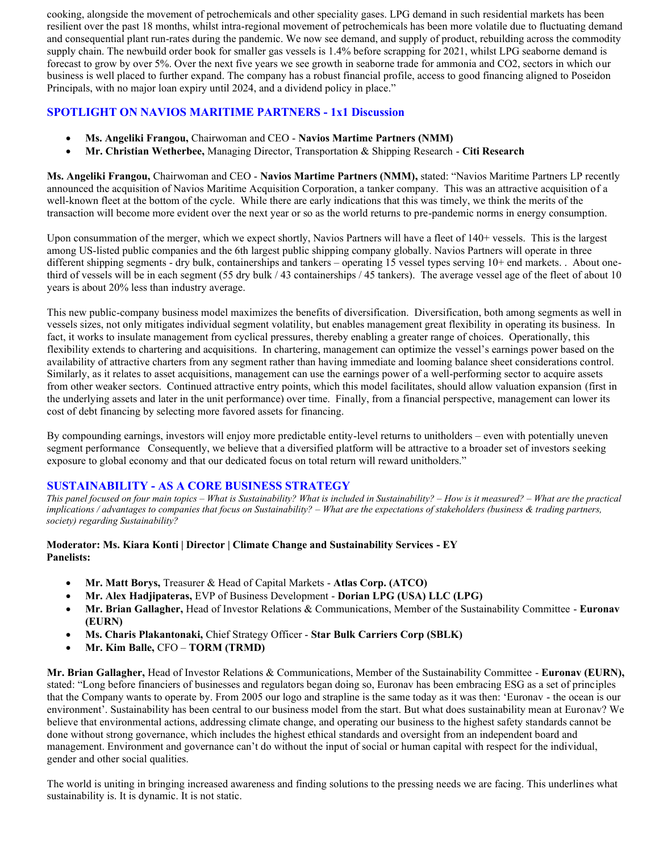cooking, alongside the movement of petrochemicals and other speciality gases. LPG demand in such residential markets has been resilient over the past 18 months, whilst intra-regional movement of petrochemicals has been more volatile due to fluctuating demand and consequential plant run-rates during the pandemic. We now see demand, and supply of product, rebuilding across the commodity supply chain. The newbuild order book for smaller gas vessels is 1.4% before scrapping for 2021, whilst LPG seaborne demand is forecast to grow by over 5%. Over the next five years we see growth in seaborne trade for ammonia and CO2, sectors in which our business is well placed to further expand. The company has a robust financial profile, access to good financing aligned to Poseidon Principals, with no major loan expiry until 2024, and a dividend policy in place."

## **SPOTLIGHT ON NAVIOS MARITIME PARTNERS - 1x1 Discussion**

- **Ms. Angeliki Frangou,** Chairwoman and CEO **Navios Martime Partners (NMM)**
- **Mr. Christian Wetherbee,** Managing Director, Transportation & Shipping Research **Citi Research**

**Ms. Angeliki Frangou,** Chairwoman and CEO - **Navios Martime Partners (NMM),** stated: "Navios Maritime Partners LP recently announced the acquisition of Navios Maritime Acquisition Corporation, a tanker company. This was an attractive acquisition of a well-known fleet at the bottom of the cycle. While there are early indications that this was timely, we think the merits of the transaction will become more evident over the next year or so as the world returns to pre-pandemic norms in energy consumption.

Upon consummation of the merger, which we expect shortly, Navios Partners will have a fleet of 140+ vessels. This is the largest among US-listed public companies and the 6th largest public shipping company globally. Navios Partners will operate in three different shipping segments - dry bulk, containerships and tankers – operating 15 vessel types serving 10+ end markets. . About onethird of vessels will be in each segment (55 dry bulk / 43 containerships / 45 tankers). The average vessel age of the fleet of about 10 years is about 20% less than industry average.

This new public-company business model maximizes the benefits of diversification. Diversification, both among segments as well in vessels sizes, not only mitigates individual segment volatility, but enables management great flexibility in operating its business. In fact, it works to insulate management from cyclical pressures, thereby enabling a greater range of choices. Operationally, this flexibility extends to chartering and acquisitions. In chartering, management can optimize the vessel's earnings power based on the availability of attractive charters from any segment rather than having immediate and looming balance sheet considerations control. Similarly, as it relates to asset acquisitions, management can use the earnings power of a well-performing sector to acquire assets from other weaker sectors. Continued attractive entry points, which this model facilitates, should allow valuation expansion (first in the underlying assets and later in the unit performance) over time. Finally, from a financial perspective, management can lower its cost of debt financing by selecting more favored assets for financing.

By compounding earnings, investors will enjoy more predictable entity-level returns to unitholders – even with potentially uneven segment performance Consequently, we believe that a diversified platform will be attractive to a broader set of investors seeking exposure to global economy and that our dedicated focus on total return will reward unitholders."

## **SUSTAINABILITY - AS A CORE BUSINESS STRATEGY**

*This panel focused on four main topics – What is Sustainability? What is included in Sustainability? – How is it measured? – What are the practical implications / advantages to companies that focus on Sustainability? – What are the expectations of stakeholders (business & trading partners, society) regarding Sustainability?*

#### **Moderator: Ms. Kiara Konti | Director | Climate Change and Sustainability Services - EY Panelists:**

- **Mr. Matt Borys,** Treasurer & Head of Capital Markets **Atlas Corp. (ATCO)**
- **Mr. Alex Hadjipateras,** EVP of Business Development **Dorian LPG (USA) LLC (LPG)**
- **Mr. Brian Gallagher,** Head of Investor Relations & Communications, Member of the Sustainability Committee **Euronav (EURN)**
- **Ms. Charis Plakantonaki,** Chief Strategy Officer **Star Bulk Carriers Corp (SBLK)**
- **Mr. Kim Balle,** CFO **TORM (TRMD)**

**Mr. Brian Gallagher,** Head of Investor Relations & Communications, Member of the Sustainability Committee - **Euronav (EURN),**  stated: "Long before financiers of businesses and regulators began doing so, Euronav has been embracing ESG as a set of principles that the Company wants to operate by. From 2005 our logo and strapline is the same today as it was then: 'Euronav - the ocean is our environment'. Sustainability has been central to our business model from the start. But what does sustainability mean at Euronav? We believe that environmental actions, addressing climate change, and operating our business to the highest safety standards cannot be done without strong governance, which includes the highest ethical standards and oversight from an independent board and management. Environment and governance can't do without the input of social or human capital with respect for the individual, gender and other social qualities.

The world is uniting in bringing increased awareness and finding solutions to the pressing needs we are facing. This underlines what sustainability is. It is dynamic. It is not static.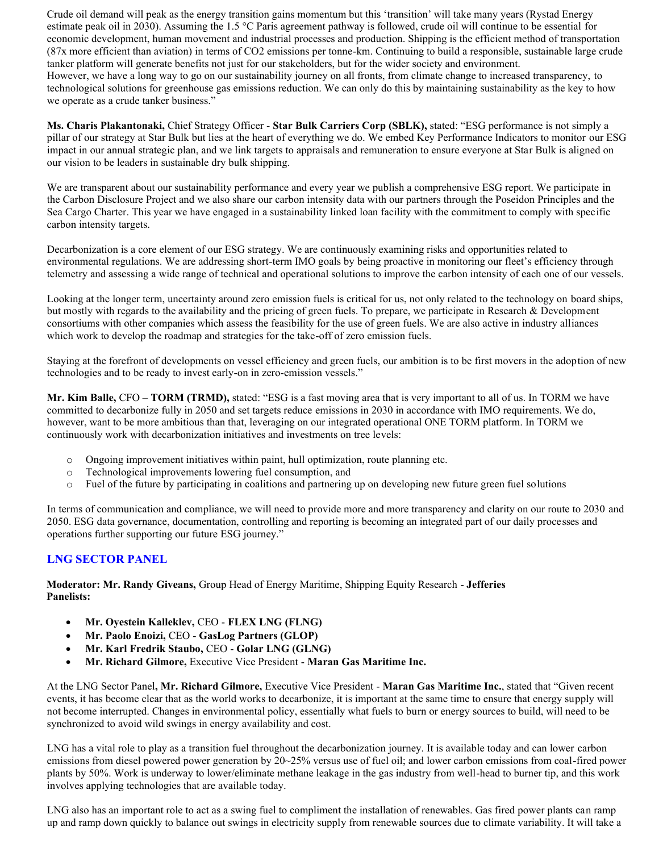Crude oil demand will peak as the energy transition gains momentum but this 'transition' will take many years (Rystad Energy estimate peak oil in 2030). Assuming the 1.5 °C Paris agreement pathway is followed, crude oil will continue to be essential for economic development, human movement and industrial processes and production. Shipping is the efficient method of transportation (87x more efficient than aviation) in terms of CO2 emissions per tonne-km. Continuing to build a responsible, sustainable large crude tanker platform will generate benefits not just for our stakeholders, but for the wider society and environment. However, we have a long way to go on our sustainability journey on all fronts, from climate change to increased transparency, to technological solutions for greenhouse gas emissions reduction. We can only do this by maintaining sustainability as the key to how we operate as a crude tanker business."

**Ms. Charis Plakantonaki,** Chief Strategy Officer - **Star Bulk Carriers Corp (SBLK),** stated: "ESG performance is not simply a pillar of our strategy at Star Bulk but lies at the heart of everything we do. We embed Key Performance Indicators to monitor our ESG impact in our annual strategic plan, and we link targets to appraisals and remuneration to ensure everyone at Star Bulk is aligned on our vision to be leaders in sustainable dry bulk shipping.

We are transparent about our sustainability performance and every year we publish a comprehensive ESG report. We participate in the Carbon Disclosure Project and we also share our carbon intensity data with our partners through the Poseidon Principles and the Sea Cargo Charter. This year we have engaged in a sustainability linked loan facility with the commitment to comply with specific carbon intensity targets.

Decarbonization is a core element of our ESG strategy. We are continuously examining risks and opportunities related to environmental regulations. We are addressing short-term IMO goals by being proactive in monitoring our fleet's efficiency through telemetry and assessing a wide range of technical and operational solutions to improve the carbon intensity of each one of our vessels.

Looking at the longer term, uncertainty around zero emission fuels is critical for us, not only related to the technology on board ships, but mostly with regards to the availability and the pricing of green fuels. To prepare, we participate in Research & Development consortiums with other companies which assess the feasibility for the use of green fuels. We are also active in industry alliances which work to develop the roadmap and strategies for the take-off of zero emission fuels.

Staying at the forefront of developments on vessel efficiency and green fuels, our ambition is to be first movers in the adoption of new technologies and to be ready to invest early-on in zero-emission vessels."

**Mr. Kim Balle,** CFO – **TORM (TRMD),** stated: "ESG is a fast moving area that is very important to all of us. In TORM we have committed to decarbonize fully in 2050 and set targets reduce emissions in 2030 in accordance with IMO requirements. We do, however, want to be more ambitious than that, leveraging on our integrated operational ONE TORM platform. In TORM we continuously work with decarbonization initiatives and investments on tree levels:

- o Ongoing improvement initiatives within paint, hull optimization, route planning etc.
- o Technological improvements lowering fuel consumption, and
- o Fuel of the future by participating in coalitions and partnering up on developing new future green fuel solutions

In terms of communication and compliance, we will need to provide more and more transparency and clarity on our route to 2030 and 2050. ESG data governance, documentation, controlling and reporting is becoming an integrated part of our daily processes and operations further supporting our future ESG journey."

# **LNG SECTOR PANEL**

**Moderator: Mr. Randy Giveans,** Group Head of Energy Maritime, Shipping Equity Research - **Jefferies Panelists:**

- **Mr. Oyestein Kalleklev,** CEO **FLEX LNG (FLNG)**
- **Mr. Paolo Enoizi,** CEO **GasLog Partners (GLOP)**
- **Mr. Karl Fredrik Staubo,** CEO **Golar LNG (GLNG)**
- **Mr. Richard Gilmore,** Executive Vice President **Maran Gas Maritime Inc.**

At the LNG Sector Panel**, Mr. Richard Gilmore,** Executive Vice President - **Maran Gas Maritime Inc.**, stated that "Given recent events, it has become clear that as the world works to decarbonize, it is important at the same time to ensure that energy supply will not become interrupted. Changes in environmental policy, essentially what fuels to burn or energy sources to build, will need to be synchronized to avoid wild swings in energy availability and cost.

LNG has a vital role to play as a transition fuel throughout the decarbonization journey. It is available today and can lower carbon emissions from diesel powered power generation by 20~25% versus use of fuel oil; and lower carbon emissions from coal-fired power plants by 50%. Work is underway to lower/eliminate methane leakage in the gas industry from well-head to burner tip, and this work involves applying technologies that are available today.

LNG also has an important role to act as a swing fuel to compliment the installation of renewables. Gas fired power plants can ramp up and ramp down quickly to balance out swings in electricity supply from renewable sources due to climate variability. It will take a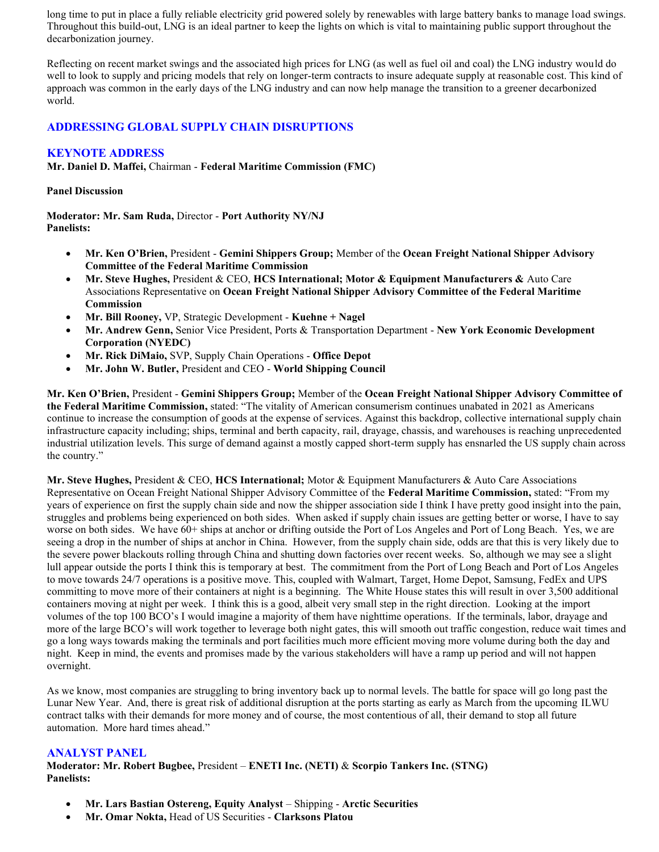long time to put in place a fully reliable electricity grid powered solely by renewables with large battery banks to manage load swings. Throughout this build-out, LNG is an ideal partner to keep the lights on which is vital to maintaining public support throughout the decarbonization journey.

Reflecting on recent market swings and the associated high prices for LNG (as well as fuel oil and coal) the LNG industry would do well to look to supply and pricing models that rely on longer-term contracts to insure adequate supply at reasonable cost. This kind of approach was common in the early days of the LNG industry and can now help manage the transition to a greener decarbonized world.

## **ADDRESSING GLOBAL SUPPLY CHAIN DISRUPTIONS**

#### **KEYNOTE ADDRESS**

**Mr. Daniel D. Maffei,** Chairman - **Federal Maritime Commission (FMC)**

#### **Panel Discussion**

**Moderator: Mr. Sam Ruda,** Director - **Port Authority NY/NJ Panelists:**

- **Mr. Ken O'Brien,** President **Gemini Shippers Group;** Member of the **Ocean Freight National Shipper Advisory Committee of the Federal Maritime Commission**
- **Mr. Steve Hughes,** President & CEO, **HCS International; Motor & Equipment Manufacturers &** Auto Care Associations Representative on **Ocean Freight National Shipper Advisory Committee of the Federal Maritime Commission**
- **Mr. Bill Rooney,** VP, Strategic Development **Kuehne + Nagel**
- **Mr. Andrew Genn,** Senior Vice President, Ports & Transportation Department **New York Economic Development Corporation (NYEDC)**
- **Mr. Rick DiMaio,** SVP, Supply Chain Operations **Office Depot**
- **Mr. John W. Butler,** President and CEO **World Shipping Council**

**Mr. Ken O'Brien,** President - **Gemini Shippers Group;** Member of the **Ocean Freight National Shipper Advisory Committee of the Federal Maritime Commission,** stated: "The vitality of American consumerism continues unabated in 2021 as Americans continue to increase the consumption of goods at the expense of services. Against this backdrop, collective international supply chain infrastructure capacity including; ships, terminal and berth capacity, rail, drayage, chassis, and warehouses is reaching unprecedented industrial utilization levels. This surge of demand against a mostly capped short-term supply has ensnarled the US supply chain across the country."

**Mr. Steve Hughes,** President & CEO, **HCS International;** Motor & Equipment Manufacturers & Auto Care Associations Representative on Ocean Freight National Shipper Advisory Committee of the **Federal Maritime Commission,** stated: "From my years of experience on first the supply chain side and now the shipper association side I think I have pretty good insight into the pain, struggles and problems being experienced on both sides. When asked if supply chain issues are getting better or worse, I have to say worse on both sides. We have  $60+$  ships at anchor or drifting outside the Port of Los Angeles and Port of Long Beach. Yes, we are seeing a drop in the number of ships at anchor in China. However, from the supply chain side, odds are that this is very likely due to the severe power blackouts rolling through China and shutting down factories over recent weeks. So, although we may see a slight lull appear outside the ports I think this is temporary at best. The commitment from the Port of Long Beach and Port of Los Angeles to move towards 24/7 operations is a positive move. This, coupled with Walmart, Target, Home Depot, Samsung, FedEx and UPS committing to move more of their containers at night is a beginning. The White House states this will result in over 3,500 additional containers moving at night per week. I think this is a good, albeit very small step in the right direction. Looking at the import volumes of the top 100 BCO's I would imagine a majority of them have nighttime operations. If the terminals, labor, drayage and more of the large BCO's will work together to leverage both night gates, this will smooth out traffic congestion, reduce wait times and go a long ways towards making the terminals and port facilities much more efficient moving more volume during both the day and night. Keep in mind, the events and promises made by the various stakeholders will have a ramp up period and will not happen overnight.

As we know, most companies are struggling to bring inventory back up to normal levels. The battle for space will go long past the Lunar New Year. And, there is great risk of additional disruption at the ports starting as early as March from the upcoming ILWU contract talks with their demands for more money and of course, the most contentious of all, their demand to stop all future automation. More hard times ahead."

#### **ANALYST PANEL**

**Moderator: Mr. Robert Bugbee,** President – **ENETI Inc. (NETI)** & **Scorpio Tankers Inc. (STNG) Panelists:**

- **Mr. Lars Bastian Ostereng, Equity Analyst**  Shipping **Arctic Securities**
- **Mr. Omar Nokta,** Head of US Securities **Clarksons Platou**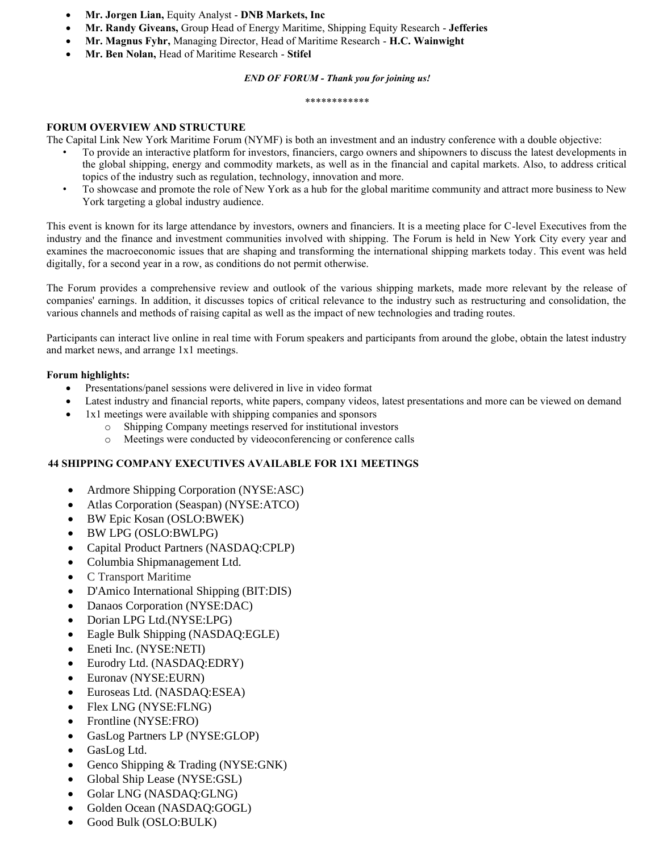- **Mr. Jorgen Lian,** Equity Analyst **DNB Markets, Inc**
- **Mr. Randy Giveans,** Group Head of Energy Maritime, Shipping Equity Research **Jefferies**
- **Mr. Magnus Fyhr,** Managing Director, Head of Maritime Research **H.C. Wainwight**
- **Mr. Ben Nolan,** Head of Maritime Research **Stifel**

#### *END OF FORUM - Thank you for joining us!*

#### \*\*\*\*\*\*\*\*\*\*\*\*

#### **FORUM OVERVIEW AND STRUCTURE**

The Capital Link New York Maritime Forum (NYMF) is both an investment and an industry conference with a double objective:

- To provide an interactive platform for investors, financiers, cargo owners and shipowners to discuss the latest developments in the global shipping, energy and commodity markets, as well as in the financial and capital markets. Also, to address critical topics of the industry such as regulation, technology, innovation and more.
- To showcase and promote the role of New York as a hub for the global maritime community and attract more business to New York targeting a global industry audience.

This event is known for its large attendance by investors, owners and financiers. It is a meeting place for C-level Executives from the industry and the finance and investment communities involved with shipping. The Forum is held in New York City every year and examines the macroeconomic issues that are shaping and transforming the international shipping markets today. This event was held digitally, for a second year in a row, as conditions do not permit otherwise.

The Forum provides a comprehensive review and outlook of the various shipping markets, made more relevant by the release of companies' earnings. In addition, it discusses topics of critical relevance to the industry such as restructuring and consolidation, the various channels and methods of raising capital as well as the impact of new technologies and trading routes.

Participants can interact live online in real time with Forum speakers and participants from around the globe, obtain the latest industry and market news, and arrange 1x1 meetings.

#### **Forum highlights:**

- Presentations/panel sessions were delivered in live in video format
- Latest industry and financial reports, white papers, company videos, latest presentations and more can be viewed on demand
- 1x1 meetings were available with shipping companies and sponsors
	- o Shipping Company meetings reserved for institutional investors
	- o Meetings were conducted by videoconferencing or conference calls

#### **44 SHIPPING COMPANY EXECUTIVES AVAILABLE FOR 1X1 MEETINGS**

- Ardmore Shipping Corporation (NYSE:ASC)
- Atlas Corporation (Seaspan) (NYSE:ATCO)
- BW Epic Kosan (OSLO:BWEK)
- BW LPG (OSLO:BWLPG)
- Capital Product Partners (NASDAQ:CPLP)
- Columbia Shipmanagement Ltd.
- C Transport Maritime
- D'Amico International Shipping (BIT:DIS)
- Danaos Corporation (NYSE:DAC)
- Dorian LPG Ltd.(NYSE:LPG)
- Eagle Bulk Shipping (NASDAQ:EGLE)
- Eneti Inc. (NYSE:NETI)
- Eurodry Ltd. (NASDAQ:EDRY)
- Euronav (NYSE:EURN)
- Euroseas Ltd. (NASDAQ:ESEA)
- Flex LNG (NYSE:FLNG)
- Frontline (NYSE:FRO)
- GasLog Partners LP (NYSE:GLOP)
- GasLog Ltd.
- Genco Shipping & Trading (NYSE:GNK)
- Global Ship Lease (NYSE:GSL)
- Golar LNG (NASDAQ:GLNG)
- Golden Ocean (NASDAQ:GOGL)
- Good Bulk (OSLO:BULK)